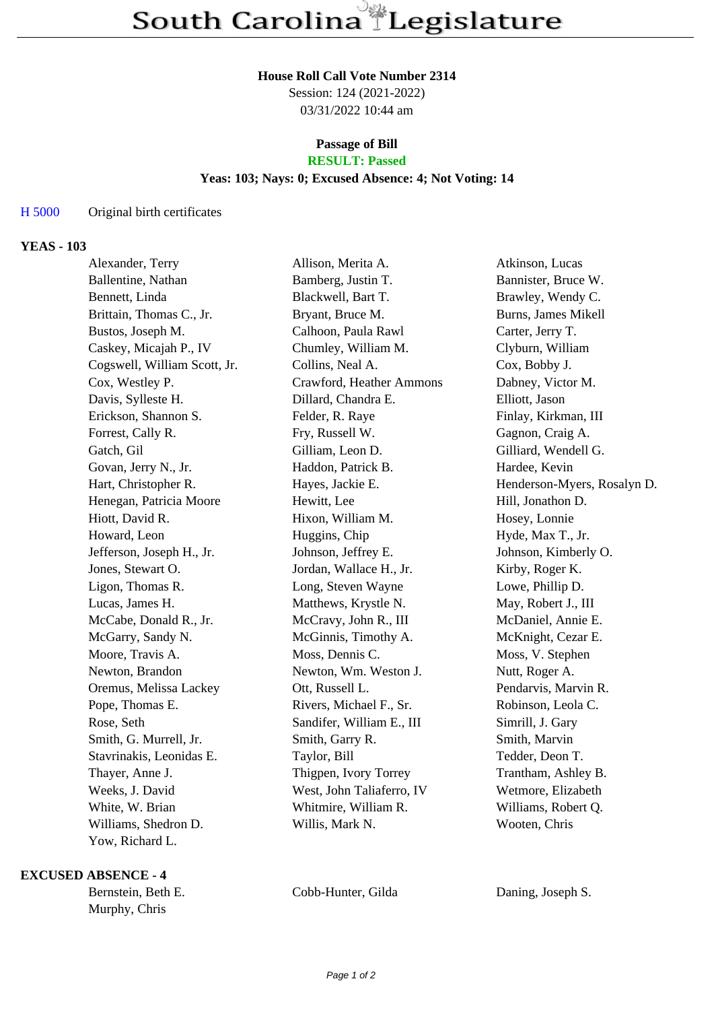#### **House Roll Call Vote Number 2314**

Session: 124 (2021-2022) 03/31/2022 10:44 am

# **Passage of Bill**

## **RESULT: Passed**

### **Yeas: 103; Nays: 0; Excused Absence: 4; Not Voting: 14**

#### H 5000 Original birth certificates

#### **YEAS - 103**

| Alexander, Terry             | Allison, Merita A.        | Atkinson, Lucas             |
|------------------------------|---------------------------|-----------------------------|
| Ballentine, Nathan           | Bamberg, Justin T.        | Bannister, Bruce W.         |
| Bennett, Linda               | Blackwell, Bart T.        | Brawley, Wendy C.           |
| Brittain, Thomas C., Jr.     | Bryant, Bruce M.          | Burns, James Mikell         |
| Bustos, Joseph M.            | Calhoon, Paula Rawl       | Carter, Jerry T.            |
| Caskey, Micajah P., IV       | Chumley, William M.       | Clyburn, William            |
| Cogswell, William Scott, Jr. | Collins, Neal A.          | Cox, Bobby J.               |
| Cox, Westley P.              | Crawford, Heather Ammons  | Dabney, Victor M.           |
| Davis, Sylleste H.           | Dillard, Chandra E.       | Elliott, Jason              |
| Erickson, Shannon S.         | Felder, R. Raye           | Finlay, Kirkman, III        |
| Forrest, Cally R.            | Fry, Russell W.           | Gagnon, Craig A.            |
| Gatch, Gil                   | Gilliam, Leon D.          | Gilliard, Wendell G.        |
| Govan, Jerry N., Jr.         | Haddon, Patrick B.        | Hardee, Kevin               |
| Hart, Christopher R.         | Hayes, Jackie E.          | Henderson-Myers, Rosalyn D. |
| Henegan, Patricia Moore      | Hewitt, Lee               | Hill, Jonathon D.           |
| Hiott, David R.              | Hixon, William M.         | Hosey, Lonnie               |
| Howard, Leon                 | Huggins, Chip             | Hyde, Max T., Jr.           |
| Jefferson, Joseph H., Jr.    | Johnson, Jeffrey E.       | Johnson, Kimberly O.        |
| Jones, Stewart O.            | Jordan, Wallace H., Jr.   | Kirby, Roger K.             |
| Ligon, Thomas R.             | Long, Steven Wayne        | Lowe, Phillip D.            |
| Lucas, James H.              | Matthews, Krystle N.      | May, Robert J., III         |
| McCabe, Donald R., Jr.       | McCravy, John R., III     | McDaniel, Annie E.          |
| McGarry, Sandy N.            | McGinnis, Timothy A.      | McKnight, Cezar E.          |
| Moore, Travis A.             | Moss, Dennis C.           | Moss, V. Stephen            |
| Newton, Brandon              | Newton, Wm. Weston J.     | Nutt, Roger A.              |
| Oremus, Melissa Lackey       | Ott, Russell L.           | Pendarvis, Marvin R.        |
| Pope, Thomas E.              | Rivers, Michael F., Sr.   | Robinson, Leola C.          |
| Rose, Seth                   | Sandifer, William E., III | Simrill, J. Gary            |
| Smith, G. Murrell, Jr.       | Smith, Garry R.           | Smith, Marvin               |
| Stavrinakis, Leonidas E.     | Taylor, Bill              | Tedder, Deon T.             |
| Thayer, Anne J.              | Thigpen, Ivory Torrey     | Trantham, Ashley B.         |
| Weeks, J. David              | West, John Taliaferro, IV | Wetmore, Elizabeth          |
| White, W. Brian              | Whitmire, William R.      | Williams, Robert Q.         |
| Williams, Shedron D.         | Willis, Mark N.           | Wooten, Chris               |
| Yow, Richard L.              |                           |                             |

#### **EXCUSED ABSENCE - 4**

Murphy, Chris

Bernstein, Beth E. Cobb-Hunter, Gilda Daning, Joseph S.